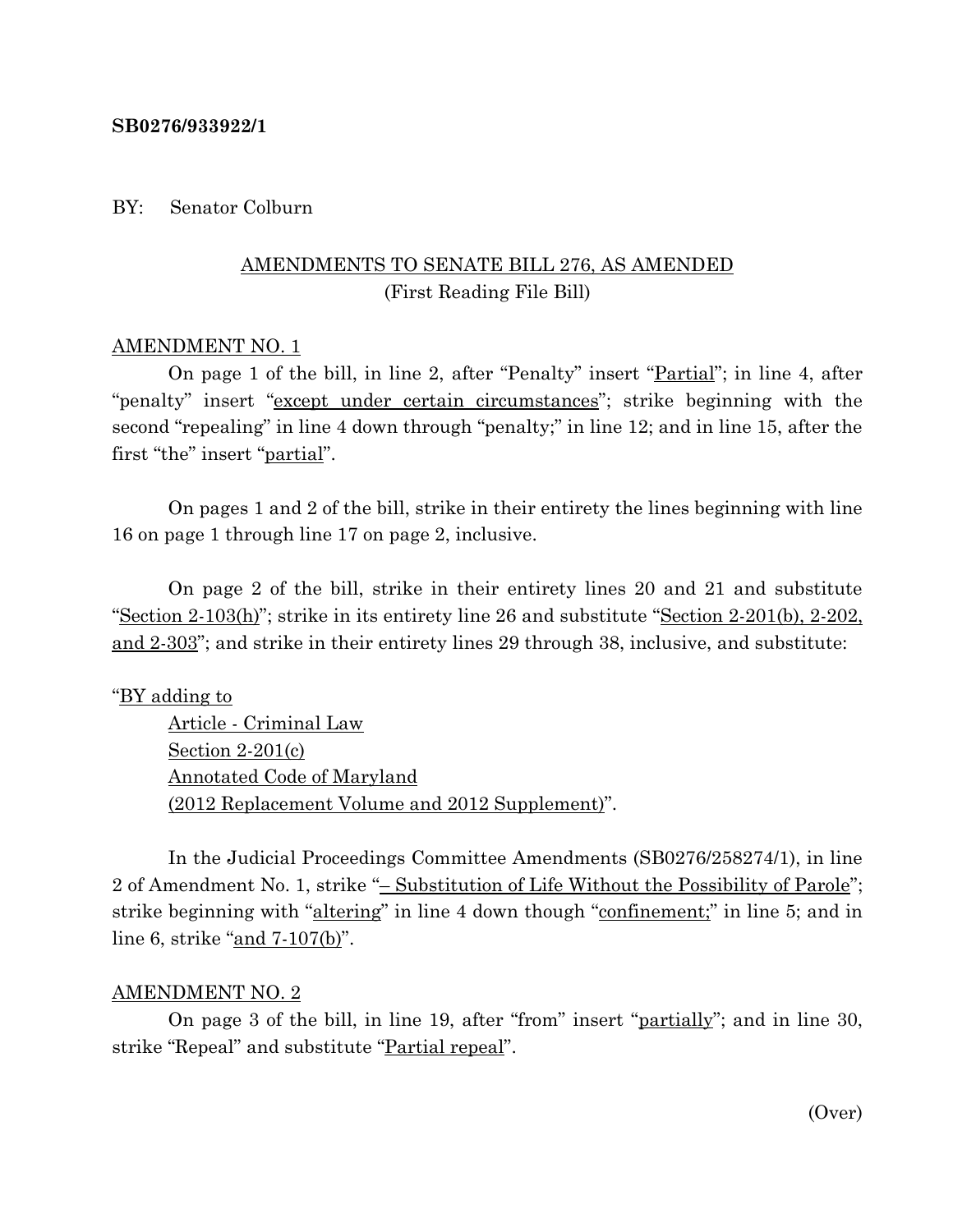### **SB0276/933922/1**

### BY: Senator Colburn

# AMENDMENTS TO SENATE BILL 276, AS AMENDED (First Reading File Bill)

### AMENDMENT NO. 1

On page 1 of the bill, in line 2, after "Penalty" insert "Partial"; in line 4, after "penalty" insert "except under certain circumstances"; strike beginning with the second "repealing" in line 4 down through "penalty;" in line 12; and in line 15, after the first "the" insert "<u>partial</u>".

On pages 1 and 2 of the bill, strike in their entirety the lines beginning with line 16 on page 1 through line 17 on page 2, inclusive.

On page 2 of the bill, strike in their entirety lines 20 and 21 and substitute "Section  $2-103(h)$ "; strike in its entirety line 26 and substitute "Section  $2-201(h)$ ,  $2-202$ , and 2-303"; and strike in their entirety lines 29 through 38, inclusive, and substitute:

## "BY adding to

Article - Criminal Law Section 2-201(c) Annotated Code of Maryland (2012 Replacement Volume and 2012 Supplement)".

In the Judicial Proceedings Committee Amendments (SB0276/258274/1), in line 2 of Amendment No. 1, strike "– Substitution of Life Without the Possibility of Parole"; strike beginning with "altering" in line 4 down though "confinement;" in line 5; and in line 6, strike "and 7-107(b)".

### AMENDMENT NO. 2

On page 3 of the bill, in line 19, after "from" insert "partially"; and in line 30, strike "Repeal" and substitute "Partial repeal".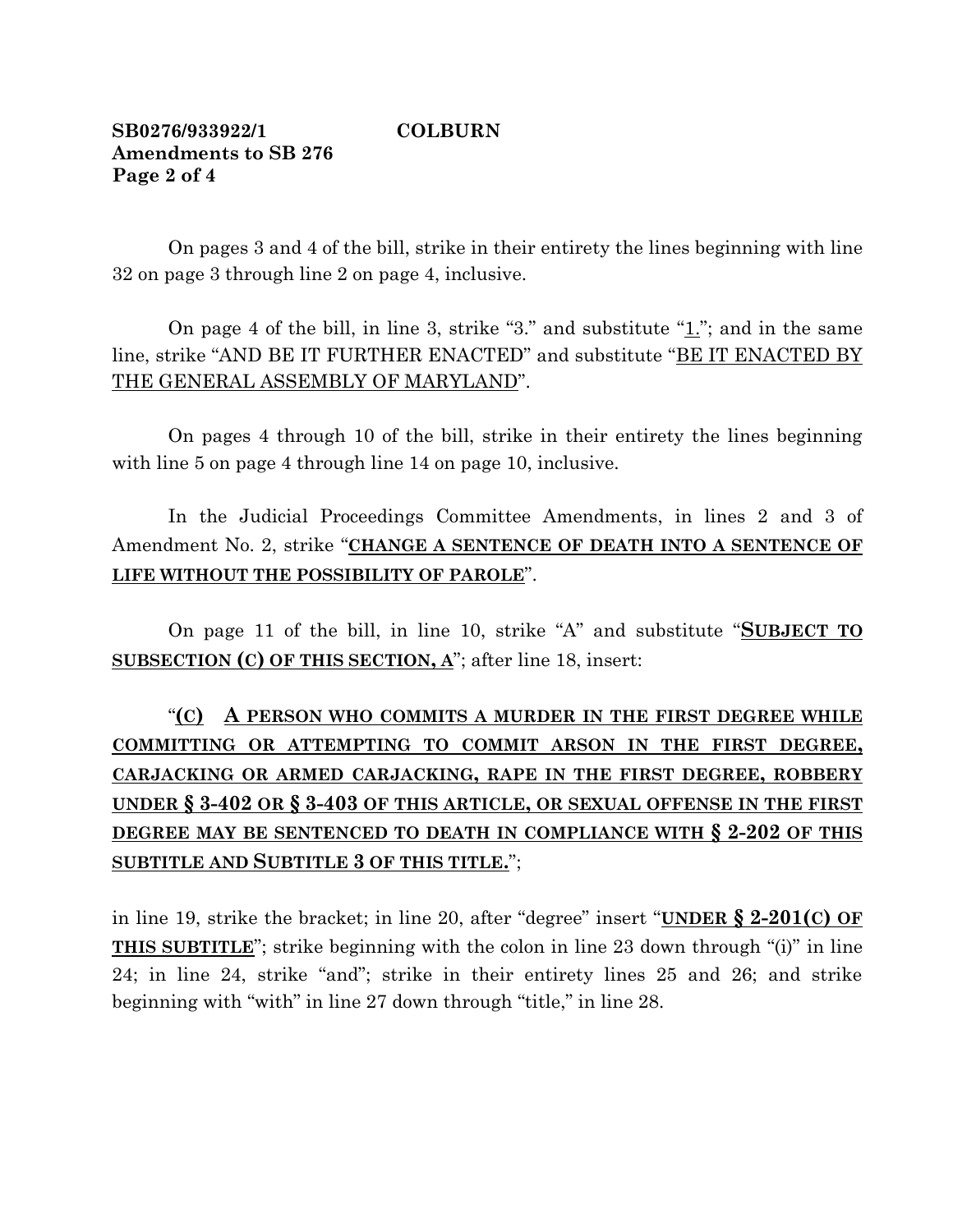# **SB0276/933922/1 COLBURN Amendments to SB 276 Page 2 of 4**

On pages 3 and 4 of the bill, strike in their entirety the lines beginning with line 32 on page 3 through line 2 on page 4, inclusive.

On page 4 of the bill, in line 3, strike "3." and substitute "1."; and in the same line, strike "AND BE IT FURTHER ENACTED" and substitute "BE IT ENACTED BY THE GENERAL ASSEMBLY OF MARYLAND".

On pages 4 through 10 of the bill, strike in their entirety the lines beginning with line 5 on page 4 through line 14 on page 10, inclusive.

In the Judicial Proceedings Committee Amendments, in lines 2 and 3 of Amendment No. 2, strike "**CHANGE A SENTENCE OF DEATH INTO A SENTENCE OF LIFE WITHOUT THE POSSIBILITY OF PAROLE**".

On page 11 of the bill, in line 10, strike "A" and substitute "**SUBJECT TO SUBSECTION (C) OF THIS SECTION, A**"; after line 18, insert:

# "**(C) A PERSON WHO COMMITS A MURDER IN THE FIRST DEGREE WHILE COMMITTING OR ATTEMPTING TO COMMIT ARSON IN THE FIRST DEGREE, CARJACKING OR ARMED CARJACKING, RAPE IN THE FIRST DEGREE, ROBBERY UNDER § 3-402 OR § 3-403 OF THIS ARTICLE, OR SEXUAL OFFENSE IN THE FIRST DEGREE MAY BE SENTENCED TO DEATH IN COMPLIANCE WITH § 2-202 OF THIS SUBTITLE AND SUBTITLE 3 OF THIS TITLE.**";

in line 19, strike the bracket; in line 20, after "degree" insert "**UNDER § 2-201(C) OF THIS SUBTITLE**"; strike beginning with the colon in line 23 down through "(i)" in line 24; in line 24, strike "and"; strike in their entirety lines 25 and 26; and strike beginning with "with" in line 27 down through "title," in line 28.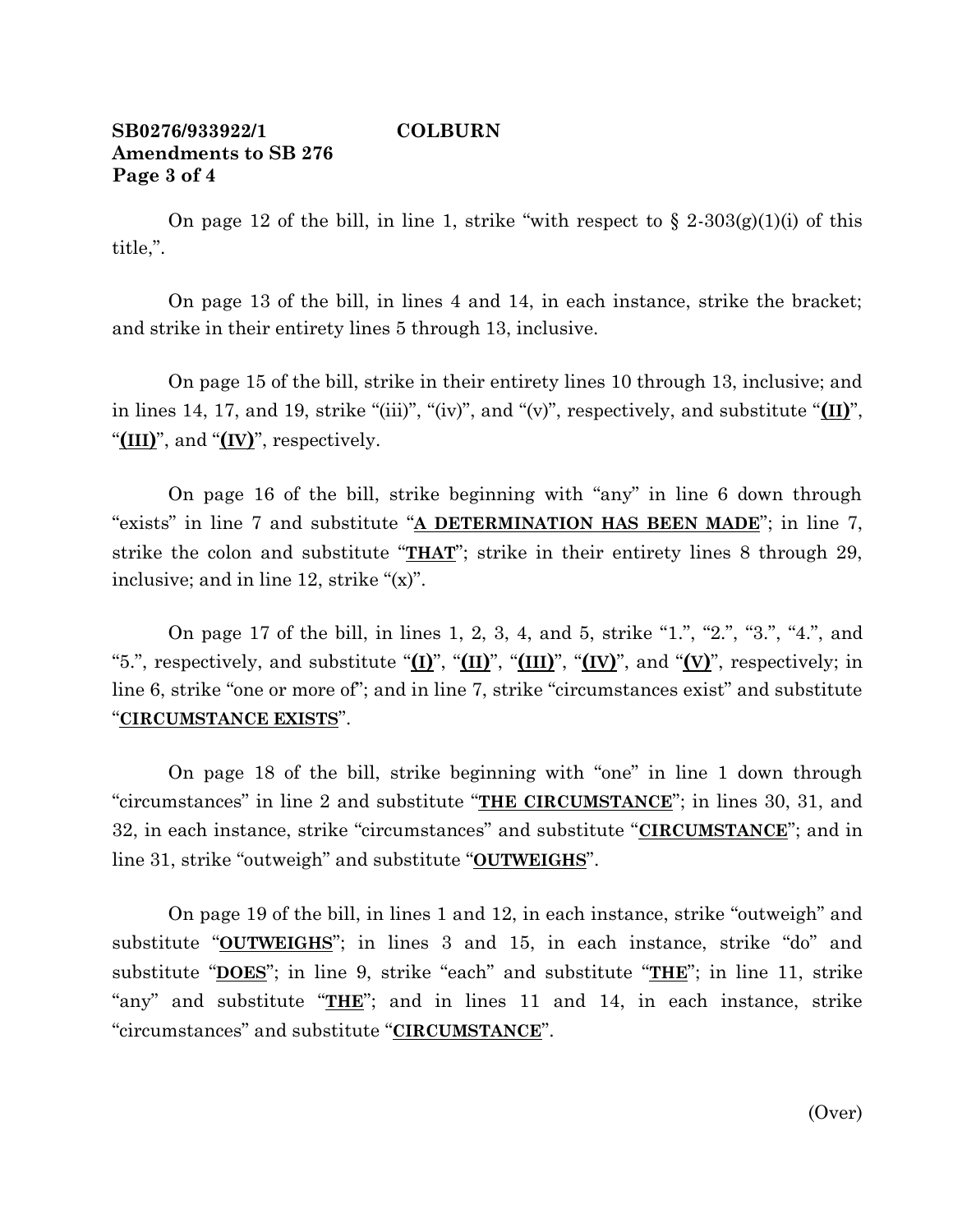# **SB0276/933922/1 COLBURN Amendments to SB 276 Page 3 of 4**

On page 12 of the bill, in line 1, strike "with respect to  $\S 2\text{-}303(g)(1)(i)$  of this title,".

On page 13 of the bill, in lines 4 and 14, in each instance, strike the bracket; and strike in their entirety lines 5 through 13, inclusive.

On page 15 of the bill, strike in their entirety lines 10 through 13, inclusive; and in lines 14, 17, and 19, strike "(iii)", "(iv)", and "(v)", respectively, and substitute "**(II)**", "**(III)**", and "**(IV)**", respectively.

On page 16 of the bill, strike beginning with "any" in line 6 down through "exists" in line 7 and substitute "**A DETERMINATION HAS BEEN MADE**"; in line 7, strike the colon and substitute "**THAT**"; strike in their entirety lines 8 through 29, inclusive; and in line 12, strike "(x)".

On page 17 of the bill, in lines 1, 2, 3, 4, and 5, strike "1.", "2.", "3.", "4.", and "5.", respectively, and substitute " $(I)$ ", " $(I)$ ", " $(I)$ ", " $(I)$ ", and " $(V)$ ", respectively; in line 6, strike "one or more of"; and in line 7, strike "circumstances exist" and substitute "**CIRCUMSTANCE EXISTS**".

On page 18 of the bill, strike beginning with "one" in line 1 down through "circumstances" in line 2 and substitute "**THE CIRCUMSTANCE**"; in lines 30, 31, and 32, in each instance, strike "circumstances" and substitute "**CIRCUMSTANCE**"; and in line 31, strike "outweigh" and substitute "**OUTWEIGHS**".

On page 19 of the bill, in lines 1 and 12, in each instance, strike "outweigh" and substitute "**OUTWEIGHS**"; in lines 3 and 15, in each instance, strike "do" and substitute "**DOES**"; in line 9, strike "each" and substitute "**THE**"; in line 11, strike "any" and substitute "**THE**"; and in lines 11 and 14, in each instance, strike "circumstances" and substitute "**CIRCUMSTANCE**".